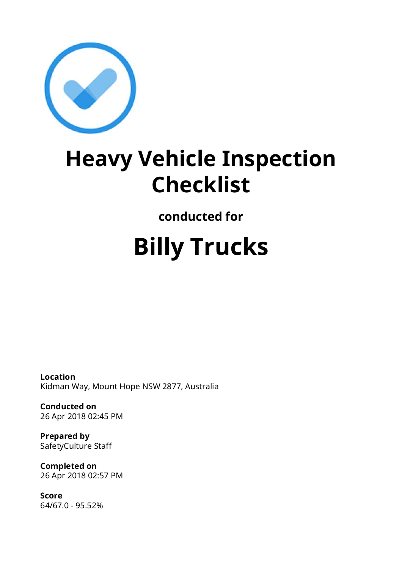

## **Heavy Vehicle Inspection Checklist**

**conducted for**

# **Billy Trucks**

**Location** Kidman Way, Mount Hope NSW 2877, Australia

**Conducted on** 26 Apr 2018 02:45 PM

**Prepared by** SafetyCulture Staff

**Completed on** 26 Apr 2018 02:57 PM

**Score** 64/67.0 - 95.52%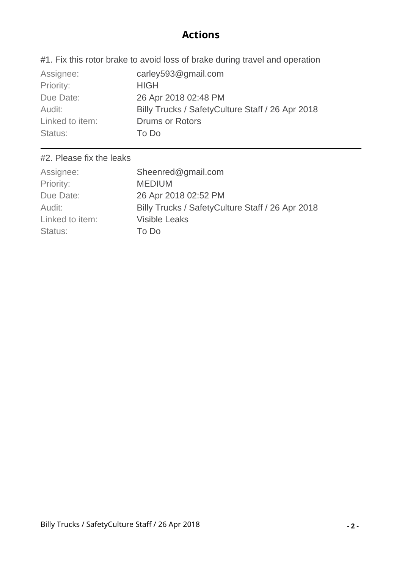#### **Actions**

#1. Fix this rotor brake to avoid loss of brake during travel and operation

| Assignee:       | carley593@gmail.com                               |
|-----------------|---------------------------------------------------|
| Priority:       | <b>HIGH</b>                                       |
| Due Date:       | 26 Apr 2018 02:48 PM                              |
| Audit:          | Billy Trucks / Safety Culture Staff / 26 Apr 2018 |
| Linked to item: | <b>Drums or Rotors</b>                            |
| Status:         | To Do                                             |

#### #2. Please fix the leaks

| Sheenred@gmail.com                               |
|--------------------------------------------------|
| <b>MEDIUM</b>                                    |
| 26 Apr 2018 02:52 PM                             |
| Billy Trucks / SafetyCulture Staff / 26 Apr 2018 |
| <b>Visible Leaks</b>                             |
| To Do                                            |
|                                                  |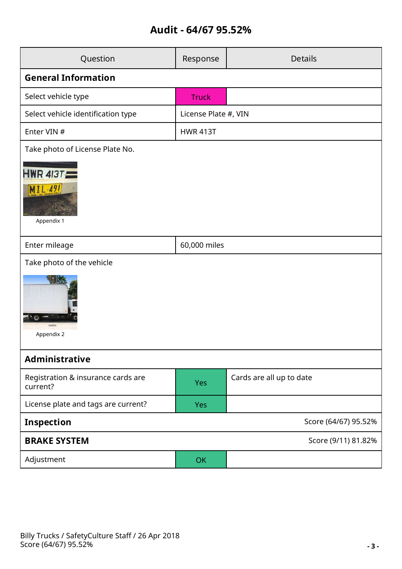### **Audit - 64/67 95.52%**

| Question                                       | Response             | <b>Details</b>           |  |  |
|------------------------------------------------|----------------------|--------------------------|--|--|
| <b>General Information</b>                     |                      |                          |  |  |
| Select vehicle type                            | <b>Truck</b>         |                          |  |  |
| Select vehicle identification type             | License Plate #, VIN |                          |  |  |
| Enter VIN #                                    | <b>HWR 413T</b>      |                          |  |  |
| Take photo of License Plate No.                |                      |                          |  |  |
| <b>HWR 4137</b><br>$MIL-491$<br>Appendix 1     |                      |                          |  |  |
| Enter mileage                                  | 60,000 miles         |                          |  |  |
| Take photo of the vehicle                      |                      |                          |  |  |
| Appendix 2                                     |                      |                          |  |  |
| <b>Administrative</b>                          |                      |                          |  |  |
| Registration & insurance cards are<br>current? | <b>Yes</b>           | Cards are all up to date |  |  |
| License plate and tags are current?            | <b>Yes</b>           |                          |  |  |
| <b>Inspection</b><br>Score (64/67) 95.52%      |                      |                          |  |  |
| <b>BRAKE SYSTEM</b><br>Score (9/11) 81.82%     |                      |                          |  |  |
| Adjustment                                     | <b>OK</b>            |                          |  |  |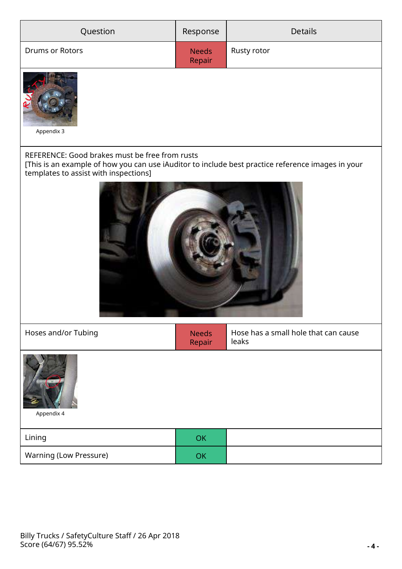| Question                                                                                                                                                                                     | Response               | <b>Details</b>                                |  |  |
|----------------------------------------------------------------------------------------------------------------------------------------------------------------------------------------------|------------------------|-----------------------------------------------|--|--|
| Drums or Rotors                                                                                                                                                                              | <b>Needs</b><br>Repair | Rusty rotor                                   |  |  |
| Appendix 3                                                                                                                                                                                   |                        |                                               |  |  |
| REFERENCE: Good brakes must be free from rusts<br>[This is an example of how you can use iAuditor to include best practice reference images in your<br>templates to assist with inspections] |                        |                                               |  |  |
|                                                                                                                                                                                              |                        |                                               |  |  |
| Hoses and/or Tubing                                                                                                                                                                          | <b>Needs</b><br>Repair | Hose has a small hole that can cause<br>leaks |  |  |
| Appendix 4                                                                                                                                                                                   |                        |                                               |  |  |
| Lining                                                                                                                                                                                       | OK                     |                                               |  |  |
| Warning (Low Pressure)                                                                                                                                                                       | OK                     |                                               |  |  |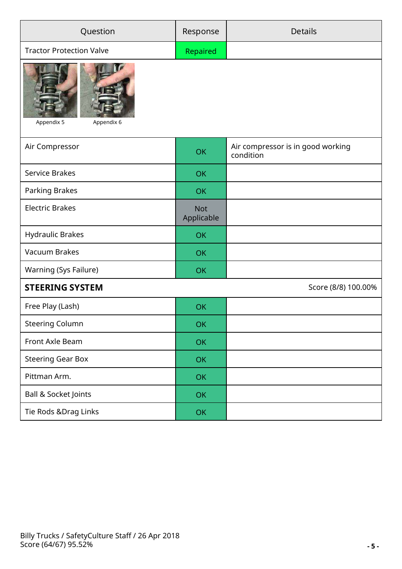| Question                                      | Response                 | <b>Details</b>                                 |  |
|-----------------------------------------------|--------------------------|------------------------------------------------|--|
| <b>Tractor Protection Valve</b>               | Repaired                 |                                                |  |
| Appendix 5<br>Appendix 6                      |                          |                                                |  |
| Air Compressor                                | <b>OK</b>                | Air compressor is in good working<br>condition |  |
| Service Brakes                                | <b>OK</b>                |                                                |  |
| Parking Brakes                                | OK                       |                                                |  |
| <b>Electric Brakes</b>                        | <b>Not</b><br>Applicable |                                                |  |
| Hydraulic Brakes                              | <b>OK</b>                |                                                |  |
| Vacuum Brakes                                 | <b>OK</b>                |                                                |  |
| Warning (Sys Failure)                         | OK                       |                                                |  |
| <b>STEERING SYSTEM</b><br>Score (8/8) 100.00% |                          |                                                |  |
| Free Play (Lash)                              | OK                       |                                                |  |
| <b>Steering Column</b>                        | OK                       |                                                |  |
| Front Axle Beam                               | OK                       |                                                |  |
| <b>Steering Gear Box</b>                      | OK                       |                                                |  |
| Pittman Arm.                                  | OK                       |                                                |  |
| <b>Ball &amp; Socket Joints</b>               | OK                       |                                                |  |
| Tie Rods & Drag Links                         | OK                       |                                                |  |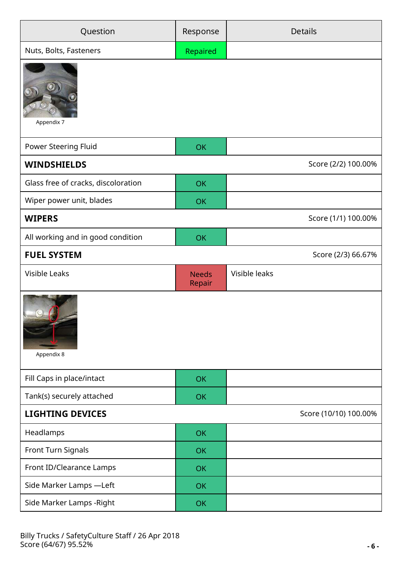| Question                            | Response               | <b>Details</b>        |
|-------------------------------------|------------------------|-----------------------|
| Nuts, Bolts, Fasteners              | Repaired               |                       |
| Appendix 7                          |                        |                       |
| Power Steering Fluid                | <b>OK</b>              |                       |
| <b>WINDSHIELDS</b>                  |                        | Score (2/2) 100.00%   |
| Glass free of cracks, discoloration | <b>OK</b>              |                       |
| Wiper power unit, blades            | <b>OK</b>              |                       |
| <b>WIPERS</b>                       |                        | Score (1/1) 100.00%   |
| All working and in good condition   | <b>OK</b>              |                       |
| <b>FUEL SYSTEM</b>                  |                        | Score (2/3) 66.67%    |
| <b>Visible Leaks</b>                | <b>Needs</b><br>Repair | Visible leaks         |
| Appendix 8                          |                        |                       |
| Fill Caps in place/intact           | <b>OK</b>              |                       |
| Tank(s) securely attached           |                        |                       |
|                                     | <b>OK</b>              |                       |
| <b>LIGHTING DEVICES</b>             |                        | Score (10/10) 100.00% |
| Headlamps                           | <b>OK</b>              |                       |
| Front Turn Signals                  | <b>OK</b>              |                       |
| Front ID/Clearance Lamps            | <b>OK</b>              |                       |
| Side Marker Lamps -Left             | <b>OK</b>              |                       |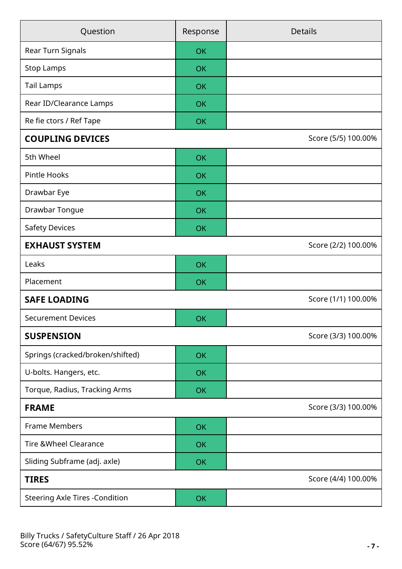| Question<br>Response                   |                     | <b>Details</b>      |  |  |
|----------------------------------------|---------------------|---------------------|--|--|
| Rear Turn Signals                      | <b>OK</b>           |                     |  |  |
| <b>Stop Lamps</b>                      | <b>OK</b>           |                     |  |  |
| <b>Tail Lamps</b>                      | <b>OK</b>           |                     |  |  |
| Rear ID/Clearance Lamps                | <b>OK</b>           |                     |  |  |
| Re fie ctors / Ref Tape                | OK                  |                     |  |  |
| <b>COUPLING DEVICES</b>                |                     | Score (5/5) 100.00% |  |  |
| 5th Wheel                              | <b>OK</b>           |                     |  |  |
| Pintle Hooks                           | <b>OK</b>           |                     |  |  |
| Drawbar Eye                            | <b>OK</b>           |                     |  |  |
| Drawbar Tongue                         | <b>OK</b>           |                     |  |  |
| <b>Safety Devices</b>                  | <b>OK</b>           |                     |  |  |
| <b>EXHAUST SYSTEM</b>                  |                     | Score (2/2) 100.00% |  |  |
| Leaks                                  | OK                  |                     |  |  |
| Placement                              | OK                  |                     |  |  |
| <b>SAFE LOADING</b>                    |                     | Score (1/1) 100.00% |  |  |
| <b>Securement Devices</b>              | OK                  |                     |  |  |
| <b>SUSPENSION</b>                      |                     | Score (3/3) 100.00% |  |  |
| Springs (cracked/broken/shifted)       | <b>OK</b>           |                     |  |  |
| U-bolts. Hangers, etc.                 | OK                  |                     |  |  |
| Torque, Radius, Tracking Arms          | <b>OK</b>           |                     |  |  |
| <b>FRAME</b>                           | Score (3/3) 100.00% |                     |  |  |
| <b>Frame Members</b>                   | OK                  |                     |  |  |
| <b>Tire &amp; Wheel Clearance</b>      | <b>OK</b>           |                     |  |  |
| Sliding Subframe (adj. axle)           | OK                  |                     |  |  |
| Score (4/4) 100.00%<br><b>TIRES</b>    |                     |                     |  |  |
| <b>Steering Axle Tires - Condition</b> | <b>OK</b>           |                     |  |  |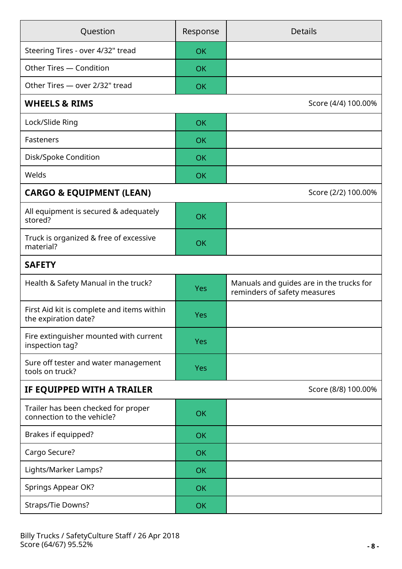| Question                                                           | Response   | <b>Details</b>                                                           |  |  |
|--------------------------------------------------------------------|------------|--------------------------------------------------------------------------|--|--|
| Steering Tires - over 4/32" tread                                  | <b>OK</b>  |                                                                          |  |  |
| Other Tires - Condition                                            | <b>OK</b>  |                                                                          |  |  |
| Other Tires - over 2/32" tread                                     | <b>OK</b>  |                                                                          |  |  |
| <b>WHEELS &amp; RIMS</b>                                           |            | Score (4/4) 100.00%                                                      |  |  |
| Lock/Slide Ring                                                    | <b>OK</b>  |                                                                          |  |  |
| Fasteners                                                          | <b>OK</b>  |                                                                          |  |  |
| Disk/Spoke Condition                                               | <b>OK</b>  |                                                                          |  |  |
| Welds                                                              | OK         |                                                                          |  |  |
| <b>CARGO &amp; EQUIPMENT (LEAN)</b>                                |            | Score (2/2) 100.00%                                                      |  |  |
| All equipment is secured & adequately<br>stored?                   | <b>OK</b>  |                                                                          |  |  |
| Truck is organized & free of excessive<br>material?                | <b>OK</b>  |                                                                          |  |  |
| <b>SAFETY</b>                                                      |            |                                                                          |  |  |
| Health & Safety Manual in the truck?                               | Yes        | Manuals and guides are in the trucks for<br>reminders of safety measures |  |  |
| First Aid kit is complete and items within<br>the expiration date? | Yes        |                                                                          |  |  |
| Fire extinguisher mounted with current<br>inspection tag?          | <b>Yes</b> |                                                                          |  |  |
| Sure off tester and water management<br>tools on truck?            | <b>Yes</b> |                                                                          |  |  |
| IF EQUIPPED WITH A TRAILER<br>Score (8/8) 100.00%                  |            |                                                                          |  |  |
| Trailer has been checked for proper<br>connection to the vehicle?  | <b>OK</b>  |                                                                          |  |  |
| Brakes if equipped?                                                | <b>OK</b>  |                                                                          |  |  |
| Cargo Secure?                                                      | <b>OK</b>  |                                                                          |  |  |
| Lights/Marker Lamps?                                               | <b>OK</b>  |                                                                          |  |  |
| Springs Appear OK?                                                 | <b>OK</b>  |                                                                          |  |  |
| Straps/Tie Downs?                                                  | <b>OK</b>  |                                                                          |  |  |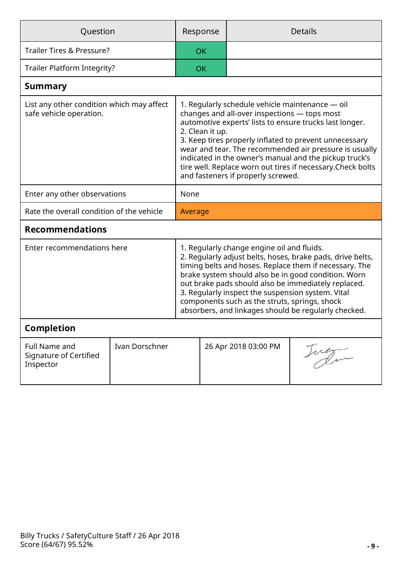| Question                                                             |                |                                                                                                                                                                                                                                                                                                                                                                                                                                                                  | Response  |                      | <b>Details</b> |
|----------------------------------------------------------------------|----------------|------------------------------------------------------------------------------------------------------------------------------------------------------------------------------------------------------------------------------------------------------------------------------------------------------------------------------------------------------------------------------------------------------------------------------------------------------------------|-----------|----------------------|----------------|
| Trailer Tires & Pressure?                                            |                |                                                                                                                                                                                                                                                                                                                                                                                                                                                                  | <b>OK</b> |                      |                |
| Trailer Platform Integrity?                                          |                |                                                                                                                                                                                                                                                                                                                                                                                                                                                                  | <b>OK</b> |                      |                |
| <b>Summary</b>                                                       |                |                                                                                                                                                                                                                                                                                                                                                                                                                                                                  |           |                      |                |
| List any other condition which may affect<br>safe vehicle operation. |                | 1. Regularly schedule vehicle maintenance — oil<br>changes and all-over inspections - tops most<br>automotive experts' lists to ensure trucks last longer.<br>2. Clean it up.<br>3. Keep tires properly inflated to prevent unnecessary<br>wear and tear. The recommended air pressure is usually<br>indicated in the owner's manual and the pickup truck's<br>tire well. Replace worn out tires if necessary. Check bolts<br>and fasteners if properly screwed. |           |                      |                |
| Enter any other observations                                         |                | None                                                                                                                                                                                                                                                                                                                                                                                                                                                             |           |                      |                |
| Rate the overall condition of the vehicle                            |                | Average                                                                                                                                                                                                                                                                                                                                                                                                                                                          |           |                      |                |
| <b>Recommendations</b>                                               |                |                                                                                                                                                                                                                                                                                                                                                                                                                                                                  |           |                      |                |
| Enter recommendations here                                           |                | 1. Regularly change engine oil and fluids.<br>2. Regularly adjust belts, hoses, brake pads, drive belts,<br>timing belts and hoses. Replace them if necessary. The<br>brake system should also be in good condition. Worn<br>out brake pads should also be immediately replaced.<br>3. Regularly inspect the suspension system. Vital<br>components such as the struts, springs, shock<br>absorbers, and linkages should be regularly checked.                   |           |                      |                |
| <b>Completion</b>                                                    |                |                                                                                                                                                                                                                                                                                                                                                                                                                                                                  |           |                      |                |
| Full Name and<br>Signature of Certified<br>Inspector                 | Ivan Dorschner |                                                                                                                                                                                                                                                                                                                                                                                                                                                                  |           | 26 Apr 2018 03:00 PM | suem           |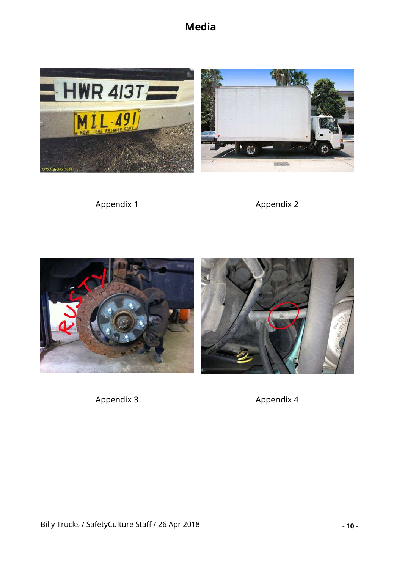**Media**



Appendix 1 Appendix 2



Appendix 3 Appendix 4